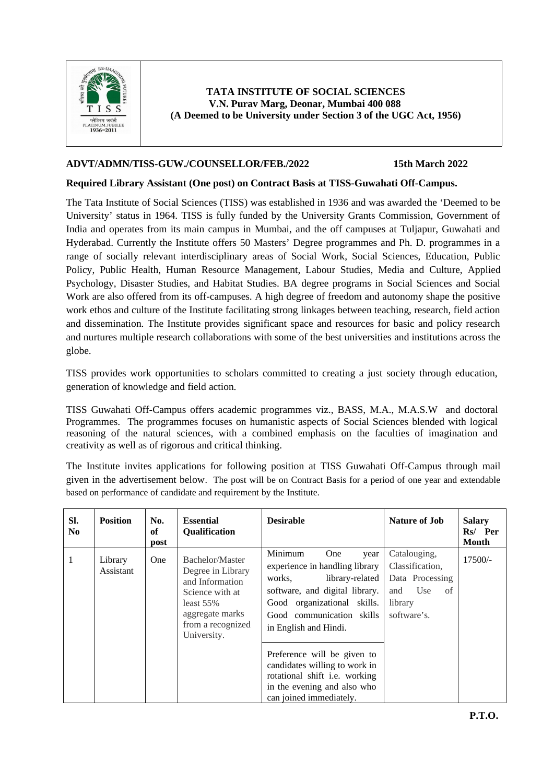

### **TATA INSTITUTE OF SOCIAL SCIENCES V.N. Purav Marg, Deonar, Mumbai 400 088 (A Deemed to be University under Section 3 of the UGC Act, 1956)**

## **ADVT/ADMN/TISS-GUW./COUNSELLOR/FEB./2022 15th March 2022**

### **Required Library Assistant (One post) on Contract Basis at TISS-Guwahati Off-Campus.**

The Tata Institute of Social Sciences (TISS) was established in 1936 and was awarded the 'Deemed to be University' status in 1964. TISS is fully funded by the University Grants Commission, Government of India and operates from its main campus in Mumbai, and the off campuses at Tuljapur, Guwahati and Hyderabad. Currently the Institute offers 50 Masters' Degree programmes and Ph. D. programmes in a range of socially relevant interdisciplinary areas of Social Work, Social Sciences, Education, Public Policy, Public Health, Human Resource Management, Labour Studies, Media and Culture, Applied Psychology, Disaster Studies, and Habitat Studies. BA degree programs in Social Sciences and Social Work are also offered from its off-campuses. A high degree of freedom and autonomy shape the positive work ethos and culture of the Institute facilitating strong linkages between teaching, research, field action and dissemination. The Institute provides significant space and resources for basic and policy research and nurtures multiple research collaborations with some of the best universities and institutions across the globe.

TISS provides work opportunities to scholars committed to creating a just society through education, generation of knowledge and field action.

TISS Guwahati Off-Campus offers academic programmes viz., BASS, M.A., M.A.S.W and doctoral Programmes. The programmes focuses on humanistic aspects of Social Sciences blended with logical reasoning of the natural sciences, with a combined emphasis on the faculties of imagination and creativity as well as of rigorous and critical thinking.

The Institute invites applications for following position at TISS Guwahati Off-Campus through mail given in the advertisement below. The post will be on Contract Basis for a period of one year and extendable based on performance of candidate and requirement by the Institute.

| SI.<br>No. | <b>Position</b>      | No.<br>of<br>post | <b>Essential</b><br>Qualification                                                                                                                | <b>Desirable</b>                                                                                                                                                                                                                                                                                                                                                               | <b>Nature of Job</b>                                                                             | <b>Salary</b><br>Rs/ Per<br>Month |
|------------|----------------------|-------------------|--------------------------------------------------------------------------------------------------------------------------------------------------|--------------------------------------------------------------------------------------------------------------------------------------------------------------------------------------------------------------------------------------------------------------------------------------------------------------------------------------------------------------------------------|--------------------------------------------------------------------------------------------------|-----------------------------------|
| 1          | Library<br>Assistant | <b>One</b>        | Bachelor/Master<br>Degree in Library<br>and Information<br>Science with at<br>least $55%$<br>aggregate marks<br>from a recognized<br>University. | Minimum<br><b>One</b><br>vear<br>experience in handling library<br>library-related<br>works,<br>software, and digital library.<br>Good organizational skills.<br>Good communication skills<br>in English and Hindi.<br>Preference will be given to<br>candidates willing to work in<br>rotational shift i.e. working<br>in the evening and also who<br>can joined immediately. | Catalouging,<br>Classification,<br>Data Processing<br>and<br>Use<br>of<br>library<br>software's. | $17500/-$                         |